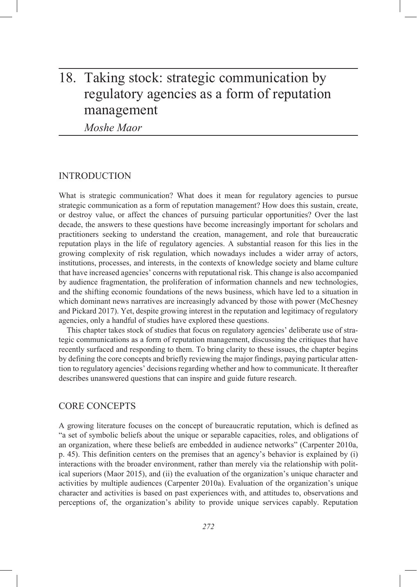# 18. Taking stock: strategic communication by regulatory agencies as a form of reputation management

*Moshe Maor*

# INTRODUCTION

What is strategic communication? What does it mean for regulatory agencies to pursue strategic communication as a form of reputation management? How does this sustain, create, or destroy value, or affect the chances of pursuing particular opportunities? Over the last decade, the answers to these questions have become increasingly important for scholars and practitioners seeking to understand the creation, management, and role that bureaucratic reputation plays in the life of regulatory agencies. A substantial reason for this lies in the growing complexity of risk regulation, which nowadays includes a wider array of actors, institutions, processes, and interests, in the contexts of knowledge society and blame culture that have increased agencies' concerns with reputational risk. This change is also accompanied by audience fragmentation, the proliferation of information channels and new technologies, and the shifting economic foundations of the news business, which have led to a situation in which dominant news narratives are increasingly advanced by those with power (McChesney and Pickard 2017). Yet, despite growing interest in the reputation and legitimacy of regulatory agencies, only a handful of studies have explored these questions.

This chapter takes stock of studies that focus on regulatory agencies' deliberate use of strategic communications as a form of reputation management, discussing the critiques that have recently surfaced and responding to them. To bring clarity to these issues, the chapter begins by defining the core concepts and briefly reviewing the major findings, paying particular attention to regulatory agencies' decisions regarding whether and how to communicate. It thereafter describes unanswered questions that can inspire and guide future research.

## CORE CONCEPTS

A growing literature focuses on the concept of bureaucratic reputation, which is defined as "a set of symbolic beliefs about the unique or separable capacities, roles, and obligations of an organization, where these beliefs are embedded in audience networks" (Carpenter 2010a, p. 45). This definition centers on the premises that an agency's behavior is explained by (i) interactions with the broader environment, rather than merely via the relationship with political superiors (Maor 2015), and (ii) the evaluation of the organization's unique character and activities by multiple audiences (Carpenter 2010a). Evaluation of the organization's unique character and activities is based on past experiences with, and attitudes to, observations and perceptions of, the organization's ability to provide unique services capably. Reputation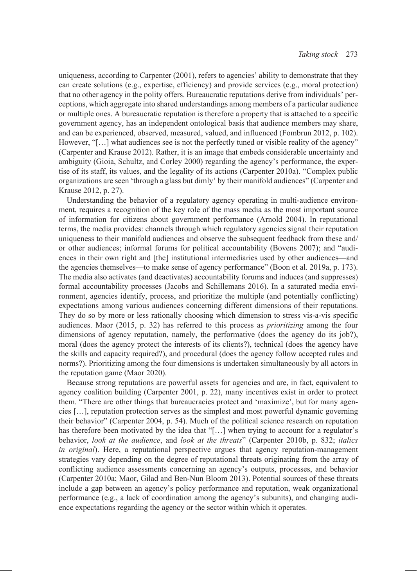uniqueness, according to Carpenter (2001), refers to agencies' ability to demonstrate that they can create solutions (e.g., expertise, efficiency) and provide services (e.g., moral protection) that no other agency in the polity offers. Bureaucratic reputations derive from individuals' perceptions, which aggregate into shared understandings among members of a particular audience or multiple ones. A bureaucratic reputation is therefore a property that is attached to a specific government agency, has an independent ontological basis that audience members may share, and can be experienced, observed, measured, valued, and influenced (Fombrun 2012, p. 102). However, "[...] what audiences see is not the perfectly tuned or visible reality of the agency" (Carpenter and Krause 2012). Rather, it is an image that embeds considerable uncertainty and ambiguity (Gioia, Schultz, and Corley 2000) regarding the agency's performance, the expertise of its staff, its values, and the legality of its actions (Carpenter 2010a). "Complex public organizations are seen 'through a glass but dimly' by their manifold audiences" (Carpenter and Krause 2012, p. 27).

Understanding the behavior of a regulatory agency operating in multi-audience environment, requires a recognition of the key role of the mass media as the most important source of information for citizens about government performance (Arnold 2004). In reputational terms, the media provides: channels through which regulatory agencies signal their reputation uniqueness to their manifold audiences and observe the subsequent feedback from these and/ or other audiences; informal forums for political accountability (Bovens 2007); and "audiences in their own right and [the] institutional intermediaries used by other audiences—and the agencies themselves—to make sense of agency performance" (Boon et al. 2019a, p. 173). The media also activates (and deactivates) accountability forums and induces (and suppresses) formal accountability processes (Jacobs and Schillemans 2016). In a saturated media environment, agencies identify, process, and prioritize the multiple (and potentially conflicting) expectations among various audiences concerning different dimensions of their reputations. They do so by more or less rationally choosing which dimension to stress vis-a-vis specific audiences. Maor (2015, p. 32) has referred to this process as *prioritizing* among the four dimensions of agency reputation, namely, the performative (does the agency do its job?), moral (does the agency protect the interests of its clients?), technical (does the agency have the skills and capacity required?), and procedural (does the agency follow accepted rules and norms?). Prioritizing among the four dimensions is undertaken simultaneously by all actors in the reputation game (Maor 2020).

Because strong reputations are powerful assets for agencies and are, in fact, equivalent to agency coalition building (Carpenter 2001, p. 22), many incentives exist in order to protect them. "There are other things that bureaucracies protect and 'maximize', but for many agencies […], reputation protection serves as the simplest and most powerful dynamic governing their behavior" (Carpenter 2004, p. 54). Much of the political science research on reputation has therefore been motivated by the idea that "[...] when trying to account for a regulator's behavior, *look at the audience*, and *look at the threats*" (Carpenter 2010b, p. 832; *italics in original*). Here, a reputational perspective argues that agency reputation-management strategies vary depending on the degree of reputational threats originating from the array of conflicting audience assessments concerning an agency's outputs, processes, and behavior (Carpenter 2010a; Maor, Gilad and Ben-Nun Bloom 2013). Potential sources of these threats include a gap between an agency's policy performance and reputation, weak organizational performance (e.g., a lack of coordination among the agency's subunits), and changing audience expectations regarding the agency or the sector within which it operates.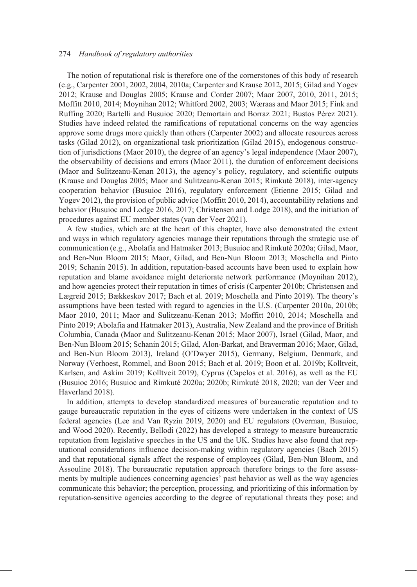### 274 *Handbook of regulatory authorities*

The notion of reputational risk is therefore one of the cornerstones of this body of research (e.g., Carpenter 2001, 2002, 2004, 2010a; Carpenter and Krause 2012, 2015; Gilad and Yogev 2012; Krause and Douglas 2005; Krause and Corder 2007; Maor 2007, 2010, 2011, 2015; Moffitt 2010, 2014; Moynihan 2012; Whitford 2002, 2003; Wæraas and Maor 2015; Fink and Ruffing 2020; Bartelli and Busuioc 2020; Demortain and Borraz 2021; Bustos Pérez 2021). Studies have indeed related the ramifications of reputational concerns on the way agencies approve some drugs more quickly than others (Carpenter 2002) and allocate resources across tasks (Gilad 2012), on organizational task prioritization (Gilad 2015), endogenous construction of jurisdictions (Maor 2010), the degree of an agency's legal independence (Maor 2007), the observability of decisions and errors (Maor 2011), the duration of enforcement decisions (Maor and Sulitzeanu-Kenan 2013), the agency's policy, regulatory, and scientific outputs (Krause and Douglas 2005; Maor and Sulitzeanu-Kenan 2015; Rimkuté 2018), inter-agency cooperation behavior (Busuioc 2016), regulatory enforcement (Etienne 2015; Gilad and Yogev 2012), the provision of public advice (Moffitt 2010, 2014), accountability relations and behavior (Busuioc and Lodge 2016, 2017; Christensen and Lodge 2018), and the initiation of procedures against EU member states (van der Veer 2021).

A few studies, which are at the heart of this chapter, have also demonstrated the extent and ways in which regulatory agencies manage their reputations through the strategic use of communication (e.g., Abolafia and Hatmaker 2013; Busuioc and Rimkuté 2020a; Gilad, Maor, and Ben-Nun Bloom 2015; Maor, Gilad, and Ben-Nun Bloom 2013; Moschella and Pinto 2019; Schanin 2015). In addition, reputation-based accounts have been used to explain how reputation and blame avoidance might deteriorate network performance (Moynihan 2012), and how agencies protect their reputation in times of crisis (Carpenter 2010b; Christensen and Lægreid 2015; Bækkeskov 2017; Bach et al. 2019; Moschella and Pinto 2019). The theory's assumptions have been tested with regard to agencies in the U.S. (Carpenter 2010a, 2010b; Maor 2010, 2011; Maor and Sulitzeanu-Kenan 2013; Moffitt 2010, 2014; Moschella and Pinto 2019; Abolafia and Hatmaker 2013), Australia, New Zealand and the province of British Columbia, Canada (Maor and Sulitzeanu-Kenan 2015; Maor 2007), Israel (Gilad, Maor, and Ben-Nun Bloom 2015; Schanin 2015; Gilad, Alon-Barkat, and Braverman 2016; Maor, Gilad, and Ben-Nun Bloom 2013), Ireland (O'Dwyer 2015), Germany, Belgium, Denmark, and Norway (Verhoest, Rommel, and Boon 2015; Bach et al. 2019; Boon et al. 2019b; Kolltveit, Karlsen, and Askim 2019; Kolltveit 2019), Cyprus (Capelos et al. 2016), as well as the EU (Busuioc 2016; Busuioc and Rimkuté 2020a; 2020b; Rimkuté 2018, 2020; van der Veer and Haverland 2018).

In addition, attempts to develop standardized measures of bureaucratic reputation and to gauge bureaucratic reputation in the eyes of citizens were undertaken in the context of US federal agencies (Lee and Van Ryzin 2019, 2020) and EU regulators (Overman, Busuioc, and Wood 2020). Recently, Bellodi (2022) has developed a strategy to measure bureaucratic reputation from legislative speeches in the US and the UK. Studies have also found that reputational considerations influence decision-making within regulatory agencies (Bach 2015) and that reputational signals affect the response of employees (Gilad, Ben-Nun Bloom, and Assouline 2018). The bureaucratic reputation approach therefore brings to the fore assessments by multiple audiences concerning agencies' past behavior as well as the way agencies communicate this behavior; the perception, processing, and prioritizing of this information by reputation-sensitive agencies according to the degree of reputational threats they pose; and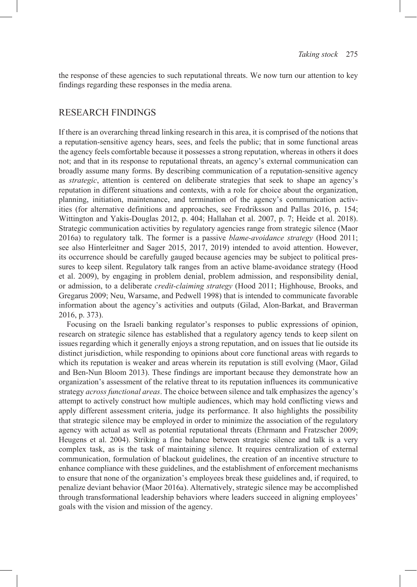the response of these agencies to such reputational threats. We now turn our attention to key findings regarding these responses in the media arena.

# RESEARCH FINDINGS

If there is an overarching thread linking research in this area, it is comprised of the notions that a reputation-sensitive agency hears, sees, and feels the public; that in some functional areas the agency feels comfortable because it possesses a strong reputation, whereas in others it does not; and that in its response to reputational threats, an agency's external communication can broadly assume many forms. By describing communication of a reputation-sensitive agency as *strategic*, attention is centered on deliberate strategies that seek to shape an agency's reputation in different situations and contexts, with a role for choice about the organization, planning, initiation, maintenance, and termination of the agency's communication activities (for alternative definitions and approaches, see Fredriksson and Pallas 2016, p. 154; Wittington and Yakis-Douglas 2012, p. 404; Hallahan et al. 2007, p. 7; Heide et al. 2018). Strategic communication activities by regulatory agencies range from strategic silence (Maor 2016a) to regulatory talk. The former is a passive *blame-avoidance strategy* (Hood 2011; see also Hinterleitner and Sager 2015, 2017, 2019) intended to avoid attention. However, its occurrence should be carefully gauged because agencies may be subject to political pressures to keep silent. Regulatory talk ranges from an active blame-avoidance strategy (Hood et al. 2009), by engaging in problem denial, problem admission, and responsibility denial, or admission, to a deliberate *credit-claiming strategy* (Hood 2011; Highhouse, Brooks, and Gregarus 2009; Neu, Warsame, and Pedwell 1998) that is intended to communicate favorable information about the agency's activities and outputs (Gilad, Alon-Barkat, and Braverman 2016, p. 373).

Focusing on the Israeli banking regulator's responses to public expressions of opinion, research on strategic silence has established that a regulatory agency tends to keep silent on issues regarding which it generally enjoys a strong reputation, and on issues that lie outside its distinct jurisdiction, while responding to opinions about core functional areas with regards to which its reputation is weaker and areas wherein its reputation is still evolving (Maor, Gilad and Ben-Nun Bloom 2013). These findings are important because they demonstrate how an organization's assessment of the relative threat to its reputation influences its communicative strategy *across functional areas*. The choice between silence and talk emphasizes the agency's attempt to actively construct how multiple audiences, which may hold conflicting views and apply different assessment criteria, judge its performance. It also highlights the possibility that strategic silence may be employed in order to minimize the association of the regulatory agency with actual as well as potential reputational threats (Ehrmann and Fratzscher 2009; Heugens et al. 2004). Striking a fine balance between strategic silence and talk is a very complex task, as is the task of maintaining silence. It requires centralization of external communication, formulation of blackout guidelines, the creation of an incentive structure to enhance compliance with these guidelines, and the establishment of enforcement mechanisms to ensure that none of the organization's employees break these guidelines and, if required, to penalize deviant behavior (Maor 2016a). Alternatively, strategic silence may be accomplished through transformational leadership behaviors where leaders succeed in aligning employees' goals with the vision and mission of the agency.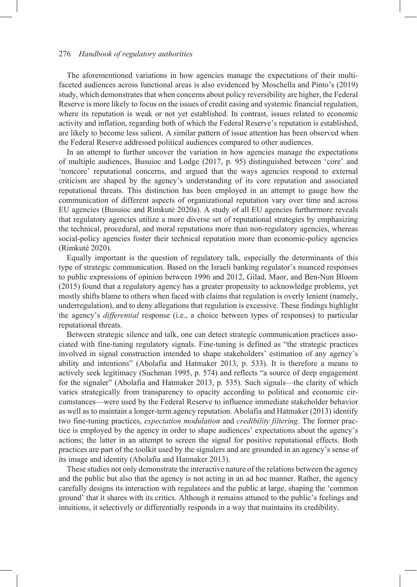### 276 *Handbook of regulatory authorities*

The aforementioned variations in how agencies manage the expectations of their multifaceted audiences across functional areas is also evidenced by Moschella and Pinto's (2019) study, which demonstrates that when concerns about policy reversibility are higher, the Federal Reserve is more likely to focus on the issues of credit easing and systemic financial regulation, where its reputation is weak or not yet established. In contrast, issues related to economic activity and inflation, regarding both of which the Federal Reserve's reputation is established, are likely to become less salient. A similar pattern of issue attention has been observed when the Federal Reserve addressed political audiences compared to other audiences.

In an attempt to further uncover the variation in how agencies manage the expectations of multiple audiences, Busuioc and Lodge (2017, p. 95) distinguished between 'core' and 'noncore' reputational concerns, and argued that the ways agencies respond to external criticism are shaped by the agency's understanding of its core reputation and associated reputational threats. This distinction has been employed in an attempt to gauge how the communication of different aspects of organizational reputation vary over time and across EU agencies (Busuioc and Rimkuté 2020a). A study of all EU agencies furthermore reveals that regulatory agencies utilize a more diverse set of reputational strategies by emphasizing the technical, procedural, and moral reputations more than non-regulatory agencies, whereas social-policy agencies foster their technical reputation more than economic-policy agencies (Rimkuté 2020).

Equally important is the question of regulatory talk, especially the determinants of this type of strategic communication. Based on the Israeli banking regulator's nuanced responses to public expressions of opinion between 1996 and 2012, Gilad, Maor, and Ben-Nun Bloom (2015) found that a regulatory agency has a greater propensity to acknowledge problems, yet mostly shifts blame to others when faced with claims that regulation is overly lenient (namely, underregulation), and to deny allegations that regulation is excessive. These findings highlight the agency's *differential* response (i.e., a choice between types of responses) to particular reputational threats.

Between strategic silence and talk, one can detect strategic communication practices associated with fine-tuning regulatory signals. Fine-tuning is defined as "the strategic practices involved in signal construction intended to shape stakeholders' estimation of any agency's ability and intentions" (Abolafia and Hatmaker 2013, p. 533). It is therefore a means to actively seek legitimacy (Suchman 1995, p. 574) and reflects "a source of deep engagement for the signaler" (Abolafia and Hatmaker 2013, p. 535). Such signals—the clarity of which varies strategically from transparency to opacity according to political and economic circumstances—were used by the Federal Reserve to influence immediate stakeholder behavior as well as to maintain a longer-term agency reputation. Abolafia and Hatmaker (2013) identify two fine-tuning practices, *expectation modulation* and *credibility filtering*. The former practice is employed by the agency in order to shape audiences' expectations about the agency's actions; the latter in an attempt to screen the signal for positive reputational effects. Both practices are part of the toolkit used by the signalers and are grounded in an agency's sense of its image and identity (Abolafia and Hatmaker 2013).

These studies not only demonstrate the interactive nature of the relations between the agency and the public but also that the agency is not acting in an ad hoc manner. Rather, the agency carefully designs its interaction with regulatees and the public at large, shaping the 'common ground' that it shares with its critics. Although it remains attuned to the public's feelings and intuitions, it selectively or differentially responds in a way that maintains its credibility.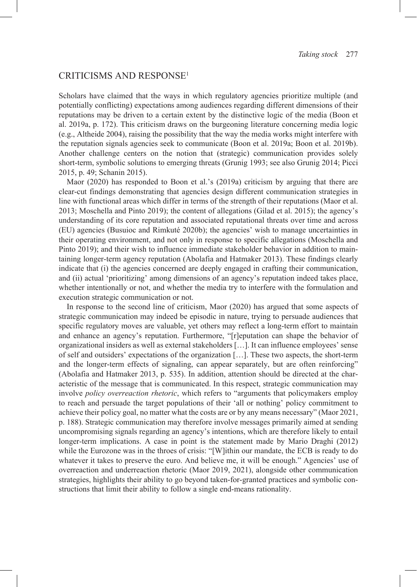# CRITICISMS AND RESPONSE1

Scholars have claimed that the ways in which regulatory agencies prioritize multiple (and potentially conflicting) expectations among audiences regarding different dimensions of their reputations may be driven to a certain extent by the distinctive logic of the media (Boon et al. 2019a, p. 172). This criticism draws on the burgeoning literature concerning media logic (e.g., Altheide 2004), raising the possibility that the way the media works might interfere with the reputation signals agencies seek to communicate (Boon et al. 2019a; Boon et al. 2019b). Another challenge centers on the notion that (strategic) communication provides solely short-term, symbolic solutions to emerging threats (Grunig 1993; see also Grunig 2014; Picci 2015, p. 49; Schanin 2015).

Maor (2020) has responded to Boon et al.'s (2019a) criticism by arguing that there are clear-cut findings demonstrating that agencies design different communication strategies in line with functional areas which differ in terms of the strength of their reputations (Maor et al. 2013; Moschella and Pinto 2019); the content of allegations (Gilad et al. 2015); the agency's understanding of its core reputation and associated reputational threats over time and across (EU) agencies (Busuioc and Rimkuté 2020b); the agencies' wish to manage uncertainties in their operating environment, and not only in response to specific allegations (Moschella and Pinto 2019); and their wish to influence immediate stakeholder behavior in addition to maintaining longer-term agency reputation (Abolafia and Hatmaker 2013). These findings clearly indicate that (i) the agencies concerned are deeply engaged in crafting their communication, and (ii) actual 'prioritizing' among dimensions of an agency's reputation indeed takes place, whether intentionally or not, and whether the media try to interfere with the formulation and execution strategic communication or not.

In response to the second line of criticism, Maor (2020) has argued that some aspects of strategic communication may indeed be episodic in nature, trying to persuade audiences that specific regulatory moves are valuable, yet others may reflect a long-term effort to maintain and enhance an agency's reputation. Furthermore, "[r]eputation can shape the behavior of organizational insiders as well as external stakeholders […]. It can influence employees' sense of self and outsiders' expectations of the organization […]. These two aspects, the short-term and the longer-term effects of signaling, can appear separately, but are often reinforcing" (Abolafia and Hatmaker 2013, p. 535). In addition, attention should be directed at the characteristic of the message that is communicated. In this respect, strategic communication may involve *policy overreaction rhetoric*, which refers to "arguments that policymakers employ to reach and persuade the target populations of their 'all or nothing' policy commitment to achieve their policy goal, no matter what the costs are or by any means necessary" (Maor 2021, p. 188). Strategic communication may therefore involve messages primarily aimed at sending uncompromising signals regarding an agency's intentions, which are therefore likely to entail longer-term implications. A case in point is the statement made by Mario Draghi (2012) while the Eurozone was in the throes of crisis: "[W]ithin our mandate, the ECB is ready to do whatever it takes to preserve the euro. And believe me, it will be enough." Agencies' use of overreaction and underreaction rhetoric (Maor 2019, 2021), alongside other communication strategies, highlights their ability to go beyond taken-for-granted practices and symbolic constructions that limit their ability to follow a single end-means rationality.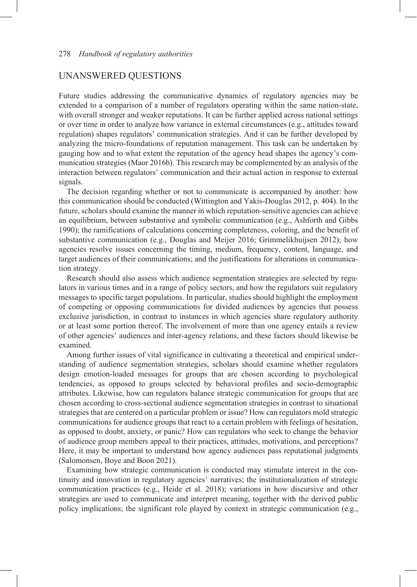# UNANSWERED QUESTIONS

Future studies addressing the communicative dynamics of regulatory agencies may be extended to a comparison of a number of regulators operating within the same nation-state, with overall stronger and weaker reputations. It can be further applied across national settings or over time in order to analyze how variance in external circumstances (e.g., attitudes toward regulation) shapes regulators' communication strategies. And it can be further developed by analyzing the micro-foundations of reputation management. This task can be undertaken by gauging how and to what extent the reputation of the agency head shapes the agency's communication strategies (Maor 2016b). This research may be complemented by an analysis of the interaction between regulators' communication and their actual action in response to external signals.

The decision regarding whether or not to communicate is accompanied by another: how this communication should be conducted (Wittington and Yakis-Douglas 2012, p. 404). In the future, scholars should examine the manner in which reputation-sensitive agencies can achieve an equilibrium, between substantive and symbolic communication (e.g., Ashforth and Gibbs 1990); the ramifications of calculations concerning completeness, coloring, and the benefit of substantive communication (e.g., Douglas and Meijer 2016; Grimmelikhuijsen 2012); how agencies resolve issues concerning the timing, medium, frequency, content, language, and target audiences of their communications; and the justifications for alterations in communication strategy.

Research should also assess which audience segmentation strategies are selected by regulators in various times and in a range of policy sectors, and how the regulators suit regulatory messages to specific target populations. In particular, studies should highlight the employment of competing or opposing communications for divided audiences by agencies that possess exclusive jurisdiction, in contrast to instances in which agencies share regulatory authority or at least some portion thereof. The involvement of more than one agency entails a review of other agencies' audiences and inter-agency relations, and these factors should likewise be examined.

Among further issues of vital significance in cultivating a theoretical and empirical understanding of audience segmentation strategies, scholars should examine whether regulators design emotion-loaded messages for groups that are chosen according to psychological tendencies, as opposed to groups selected by behavioral profiles and socio-demographic attributes. Likewise, how can regulators balance strategic communication for groups that are chosen according to cross-sectional audience segmentation strategies in contrast to situational strategies that are centered on a particular problem or issue? How can regulators mold strategic communications for audience groups that react to a certain problem with feelings of hesitation, as opposed to doubt, anxiety, or panic? How can regulators who seek to change the behavior of audience group members appeal to their practices, attitudes, motivations, and perceptions? Here, it may be important to understand how agency audiences pass reputational judgments (Salomonsen, Boye and Boon 2021).

Examining how strategic communication is conducted may stimulate interest in the continuity and innovation in regulatory agencies' narratives; the institutionalization of strategic communication practices (e.g., Heide et al. 2018); variations in how discursive and other strategies are used to communicate and interpret meaning, together with the derived public policy implications; the significant role played by context in strategic communication (e.g.,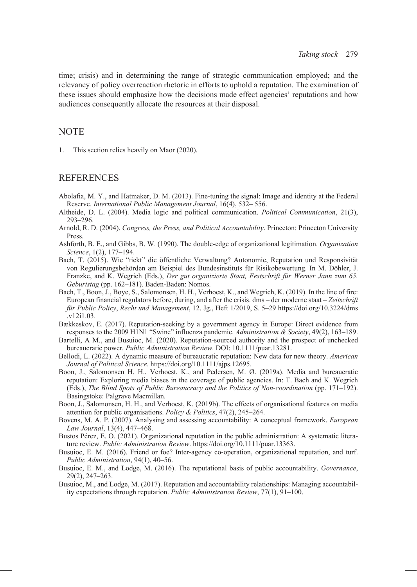time; crisis) and in determining the range of strategic communication employed; and the relevancy of policy overreaction rhetoric in efforts to uphold a reputation. The examination of these issues should emphasize how the decisions made effect agencies' reputations and how audiences consequently allocate the resources at their disposal.

# **NOTE**

1. This section relies heavily on Maor (2020).

## REFERENCES

- Abolafia, M. Y., and Hatmaker, D. M. (2013). Fine-tuning the signal: Image and identity at the Federal Reserve. *International Public Management Journal*, 16(4), 532– 556.
- Altheide, D. L. (2004). Media logic and political communication. *Political Communication*, 21(3), 293–296.
- Arnold, R. D. (2004). *Congress, the Press, and Political Accountability*. Princeton: Princeton University Press.
- Ashforth, B. E., and Gibbs, B. W. (1990). The double-edge of organizational legitimation. *Organization Science*, 1(2), 177–194.
- Bach, T. (2015). Wie "tickt" die öffentliche Verwaltung? Autonomie, Reputation und Responsivität von Regulierungsbehörden am Beispiel des Bundesinstituts für Risikobewertung. In M. Döhler, J. Franzke, and K. Wegrich (Eds.), *Der gut organizierte Staat, Festschrift für Werner Jann zum 65. Geburtstag* (pp. 162–181). Baden-Baden: Nomos.
- Bach, T., Boon, J., Boye, S., Salomonsen, H. H., Verhoest, K., and Wegrich, K. (2019). In the line of fire: European financial regulators before, during, and after the crisis. dms – der moderne staat – *Zeitschrift für Public Policy*, *Recht und Management*, 12. Jg., Heft 1/2019, S. 5‒29 [https://doi.org/10.3224/dms](https://doi.org/10.3224/dms.v12i1.03) [.v12i1.03](https://doi.org/10.3224/dms.v12i1.03).
- Bækkeskov, E. (2017). Reputation-seeking by a government agency in Europe: Direct evidence from responses to the 2009 H1N1 "Swine" influenza pandemic. *Administration & Society*, 49(2), 163–189.
- Bartelli, A M., and Busuioc, M. (2020). Reputation-sourced authority and the prospect of unchecked bureaucratic power*. Public Administration Review*. DOI: 10.1111/puar.13281.
- Bellodi, L. (2022). A dynamic measure of bureaucratic reputation: New data for new theory. *American Journal of Political Science*.<https://doi.org/10.1111/ajps.12695>.
- Boon, J., Salomonsen H. H., Verhoest, K., and Pedersen, M. Ø. (2019a). Media and bureaucratic reputation: Exploring media biases in the coverage of public agencies. In: T. Bach and K. Wegrich (Eds.), *The Blind Spots of Public Bureaucracy and the Politics of Non-coordination* (pp. 171–192). Basingstoke: Palgrave Macmillan.
- Boon, J., Salomonsen, H. H., and Verhoest, K. (2019b). The effects of organisational features on media attention for public organisations. *Policy & Politics*, 47(2), 245–264.
- Bovens, M. A. P. (2007). Analysing and assessing accountability: A conceptual framework. *European Law Journal*, 13(4), 447–468.
- Bustos Pérez, E. O. (2021). Organizational reputation in the public administration: A systematic literature review. *Public Administration Review*. [https://doi.org/10.1111/puar.13363.](https://doi.org/10.1111/puar.13363)
- Busuioc, E. M. (2016). Friend or foe? Inter-agency co-operation, organizational reputation, and turf. *Public Administration*, 94(1), 40‒56.
- Busuioc, E. M., and Lodge, M. (2016). The reputational basis of public accountability. *Governance*, 29(2), 247‒263.
- Busuioc, M., and Lodge, M. (2017). Reputation and accountability relationships: Managing accountability expectations through reputation. *Public Administration Review*, 77(1), 91-100.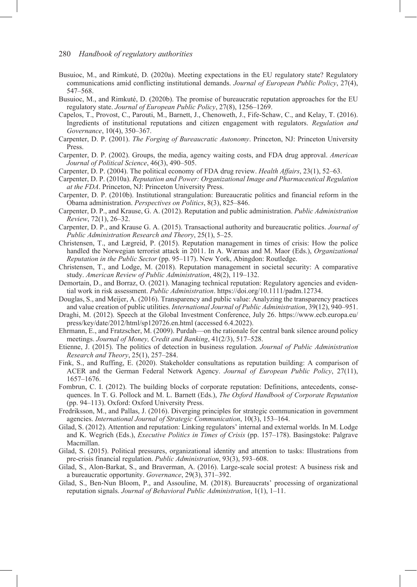- Busuioc, M., and Rimkuté, D. (2020a). Meeting expectations in the EU regulatory state? Regulatory communications amid conflicting institutional demands. *Journal of European Public Policy*, 27(4), 547‒568.
- Busuioc, M., and Rimkuté, D. (2020b). The promise of bureaucratic reputation approaches for the EU regulatory state. *Journal of European Public Policy*, 27(8), 1256–1269.
- Capelos, T., Provost, C., Parouti, M., Barnett, J., Chenoweth, J., Fife-Schaw, C., and Kelay, T. (2016). Ingredients of institutional reputations and citizen engagement with regulators. *Regulation and Governance*, 10(4), 350–367.
- Carpenter, D. P. (2001). *The Forging of Bureaucratic Autonomy*. Princeton, NJ: Princeton University Press.
- Carpenter, D. P. (2002). Groups, the media, agency waiting costs, and FDA drug approval. *American Journal of Political Science*, 46(3), 490–505.
- Carpenter, D. P. (2004). The political economy of FDA drug review. *Health Affairs*, 23(1), 52–63.
- Carpenter, D. P. (2010a). *Reputation and Power: Organizational Image and Pharmaceutical Regulation at the FDA*. Princeton, NJ: Princeton University Press.
- Carpenter, D. P. (2010b). Institutional strangulation: Bureaucratic politics and financial reform in the Obama administration. *Perspectives on Politics*, 8(3), 825‒846.
- Carpenter, D. P., and Krause, G. A. (2012). Reputation and public administration. *Public Administration Review*, 72(1), 26‒32.
- Carpenter, D. P., and Krause G. A. (2015). Transactional authority and bureaucratic politics. *Journal of Public Administration Research and Theory*, 25(1), 5–25.
- Christensen, T., and Lægreid, P. (2015). Reputation management in times of crisis: How the police handled the Norwegian terrorist attack in 2011. In A. Wæraas and M. Maor (Eds.), *Organizational Reputation in the Public Sector* (pp. 95‒117). New York, Abingdon: Routledge.
- Christensen, T., and Lodge, M. (2018). Reputation management in societal security: A comparative study. *American Review of Public Administration*, 48(2), 119–132.
- Demortain, D., and Borraz, O. (2021). Managing technical reputation: Regulatory agencies and evidential work in risk assessment. *Public Administration*. <https://doi.org/10.1111/padm.12734>.
- Douglas, S., and Meijer, A. (2016). Transparency and public value: Analyzing the transparency practices and value creation of public utilities. *International Journal of Public Administration*, 39(12), 940–951.
- Draghi, M. (2012). Speech at the Global Investment Conference, July 26. [https://www.ecb.europa.eu/](https://www.ecb.europa.eu/press/key/date/2012/html/sp120726.en.html) [press/key/date/2012/html/sp120726.en.html](https://www.ecb.europa.eu/press/key/date/2012/html/sp120726.en.html) (accessed 6.4.2022).
- Ehrmann, E., and Fratzscher, M. (2009). Purdah—on the rationale for central bank silence around policy meetings. *Journal of Money, Credit and Banking*, 41(2/3), 517–528.
- Etienne, J. (2015). The politics of detection in business regulation. *Journal of Public Administration Research and Theory*, 25(1), 257–284.
- Fink, S., and Ruffing, E. (2020). Stakeholder consultations as reputation building: A comparison of ACER and the German Federal Network Agency. *Journal of European Public Policy*, 27(11), 1657‒1676.
- Fombrun, C. I. (2012). The building blocks of corporate reputation: Definitions, antecedents, consequences. In T. G. Pollock and M. L. Barnett (Eds.), *The Oxford Handbook of Corporate Reputation* (pp. 94–113). Oxford: Oxford University Press.
- Fredriksson, M., and Pallas, J. (2016). Diverging principles for strategic communication in government agencies. *International Journal of Strategic Communication*, 10(3), 153–164.
- Gilad, S. (2012). Attention and reputation: Linking regulators' internal and external worlds. In M. Lodge and K. Wegrich (Eds.), *Executive Politics in Times of Crisis* (pp. 157–178). Basingstoke: Palgrave Macmillan.
- Gilad, S. (2015). Political pressures, organizational identity and attention to tasks: Illustrations from pre-crisis financial regulation. *Public Administration*, 93(3), 593–608.
- Gilad, S., Alon-Barkat, S., and Braverman, A. (2016). Large-scale social protest: A business risk and a bureaucratic opportunity. *Governance*, 29(3), 371‒392.
- Gilad, S., Ben-Nun Bloom, P., and Assouline, M. (2018). Bureaucrats' processing of organizational reputation signals. *Journal of Behavioral Public Administration*, 1(1), 1‒11.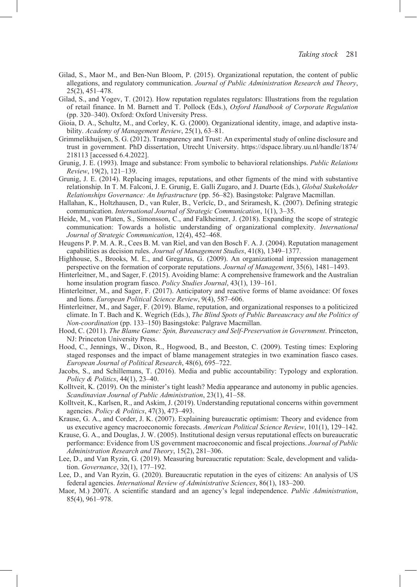- Gilad, S., Maor M., and Ben-Nun Bloom, P. (2015). Organizational reputation, the content of public allegations, and regulatory communication. *Journal of Public Administration Research and Theory*, 25(2), 451–478.
- Gilad, S., and Yogev, T. (2012). How reputation regulates regulators: Illustrations from the regulation of retail finance. In M. Barnett and T. Pollock (Eds.), *Oxford Handbook of Corporate Regulation* (pp. 320‒340). Oxford: Oxford University Press.
- Gioia, D. A., Schultz, M., and Corley, K. G. (2000). Organizational identity, image, and adaptive instability. *Academy of Management Review*, 25(1), 63‒81.
- Grimmelikhuijsen, S. G. (2012). Transparency and Trust: An experimental study of online disclosure and trust in government. PhD dissertation, Utrecht University. [https://dspace.library.uu.nl/handle/1874/](https://dspace.library.uu.nl/handle/1874/218113) [218113](https://dspace.library.uu.nl/handle/1874/218113) [accessed 6.4.2022].
- Grunig, J. E. (1993). Image and substance: From symbolic to behavioral relationships. *Public Relations Review*, 19(2), 121‒139.
- Grunig, J. E. (2014). Replacing images, reputations, and other figments of the mind with substantive relationship. In T. M. Falconi, J. E. Grunig, E. Galli Zugaro, and J. Duarte (Eds.), *Global Stakeholder Relationships Governance: An Infrastructure* (pp. 56‒82). Basingstoke: Palgrave Macmillan.
- Hallahan, K., Holtzhausen, D., van Ruler, B., Verǐcǐc, D., and Sriramesh, K. (2007). Defining strategic communication. *International Journal of Strategic Communication*, 1(1), 3–35.
- Heide, M., von Platen, S., Simonsson, C., and Falkheimer, J. (2018). Expanding the scope of strategic communication: Towards a holistic understanding of organizational complexity. *International Journal of Strategic Communication*, 12(4), 452‒468.
- Heugens P. P. M. A. R., Cees B. M. van Riel, and van den Bosch F. A. J. (2004). Reputation management capabilities as decision rules. *Journal of Management Studies*, 41(8), 1349-1377.
- Highhouse, S., Brooks, M. E., and Gregarus, G. (2009). An organizational impression management perspective on the formation of corporate reputations. *Journal of Management*, 35(6), 1481–1493.
- Hinterleitner, M., and Sager, F. (2015). Avoiding blame: A comprehensive framework and the Australian home insulation program fiasco. *Policy Studies Journal*, 43(1), 139–161.
- Hinterleitner, M., and Sager, F. (2017). Anticipatory and reactive forms of blame avoidance: Of foxes and lions. *European Political Science Review*, 9(4), 587–606.
- Hinterleitner, M., and Sager, F. (2019). Blame, reputation, and organizational responses to a politicized climate. In T. Bach and K. Wegrich (Eds.), *The Blind Spots of Public Bureaucracy and the Politics of Non-coordination* (pp. 133‒150) Basingstoke: Palgrave Macmillan.
- Hood, C. (2011). *The Blame Game: Spin, Bureaucracy and Self-Preservation in Government*. Princeton, NJ: Princeton University Press.
- Hood, C., Jennings, W., Dixon, R., Hogwood, B., and Beeston, C. (2009). Testing times: Exploring staged responses and the impact of blame management strategies in two examination fiasco cases. *European Journal of Political Research*, 48(6), 695–722.
- Jacobs, S., and Schillemans, T. (2016). Media and public accountability: Typology and exploration. *Policy & Politics*, 44(1), 23‒40.
- Kolltveit, K. (2019). On the minister's tight leash? Media appearance and autonomy in public agencies. *Scandinavian Journal of Public Administration*, 23(1), 41‒58.
- Kolltveit, K., Karlsen, R., and Askim, J. (2019). Understanding reputational concerns within government agencies. *Policy & Politics*, 47(3), 473‒493.
- Krause, G. A., and Corder, J. K. (2007). Explaining bureaucratic optimism: Theory and evidence from us executive agency macroeconomic forecasts. *American Political Science Review*, 101(1), 129–142.
- Krause, G. A., and Douglas, J. W. (2005). Institutional design versus reputational effects on bureaucratic performance: Evidence from US government macroeconomic and fiscal projections. *Journal of Public Administration Research and Theory*, 15(2), 281–306.
- Lee, D., and Van Ryzin, G. (2019). Measuring bureaucratic reputation: Scale, development and validation. *Governance*, 32(1), 177–192.
- Lee, D., and Van Ryzin, G. (2020). Bureaucratic reputation in the eyes of citizens: An analysis of US federal agencies. *International Review of Administrative Sciences*, 86(1), 183‒200.
- Maor, M.) 2007(. A scientific standard and an agency's legal independence. *Public Administration*, 85(4), 961–978.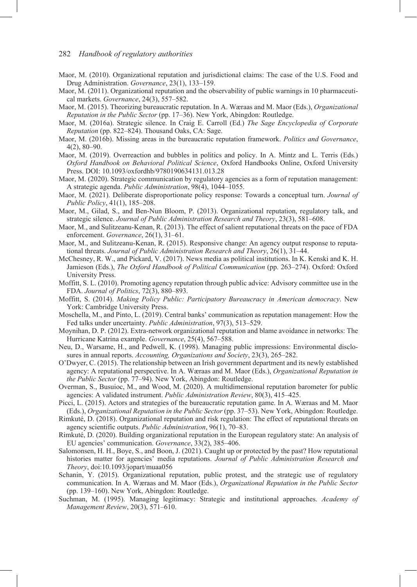#### 282 *Handbook of regulatory authorities*

- Maor, M. (2010). Organizational reputation and jurisdictional claims: The case of the U.S. Food and Drug Administration. *Governance*, 23(1), 133–159.
- Maor, M. (2011). Organizational reputation and the observability of public warnings in 10 pharmaceutical markets. *Governance*, 24(3), 557–582.
- Maor, M. (2015). Theorizing bureaucratic reputation. In A. Wæraas and M. Maor (Eds.), *Organizational Reputation in the Public Sector* (pp. 17‒36). New York, Abingdon: Routledge.
- Maor, M. (2016a). Strategic silence. In Craig E. Carroll (Ed.) *The Sage Encyclopedia of Corporate Reputation* (pp. 822‒824). Thousand Oaks, CA: Sage.
- Maor, M. (2016b). Missing areas in the bureaucratic reputation framework. *Politics and Governance*, 4(2), 80‒90.
- Maor, M. (2019). Overreaction and bubbles in politics and policy. In A. Mintz and L. Terris (Eds.) *Oxford Handbook on Behavioral Political Science*, Oxford Handbooks Online, Oxford University Press. DOI: 10.1093/oxfordhb/9780190634131.013.28
- Maor, M. (2020). Strategic communication by regulatory agencies as a form of reputation management: A strategic agenda. *Public Administration*, 98(4), 1044-1055.
- Maor, M. (2021). Deliberate disproportionate policy response: Towards a conceptual turn. *Journal of Public Policy*, 41(1), 185–208.
- Maor, M., Gilad, S., and Ben-Nun Bloom, P. (2013). Organizational reputation, regulatory talk, and strategic silence. *Journal of Public Administration Research and Theory*, 23(3), 581–608.
- Maor, M., and Sulitzeanu-Kenan, R. (2013). The effect of salient reputational threats on the pace of FDA enforcement. *Governance*, 26(1), 31–61.
- Maor, M., and Sulitzeanu-Kenan, R. (2015). Responsive change: An agency output response to reputational threats. *Journal of Public Administration Research and Theory*, 26(1), 31-44.
- McChesney, R. W., and Pickard, V. (2017). News media as political institutions. In K. Kenski and K. H. Jamieson (Eds.), *The Oxford Handbook of Political Communication* (pp. 263–274). Oxford: Oxford University Press.
- Moffitt, S. L. (2010). Promoting agency reputation through public advice: Advisory committee use in the FDA. *Journal of Politics*, 72(3), 880–893.
- Moffitt, S. (2014). *Making Policy Public: Participatory Bureaucracy in American democracy*. New York: Cambridge University Press.
- Moschella, M., and Pinto, L. (2019). Central banks' communication as reputation management: How the Fed talks under uncertainty. *Public Administration*, 97(3), 513–529.
- Moynihan, D. P. (2012). Extra-network organizational reputation and blame avoidance in networks: The Hurricane Katrina example. *Governance*, 25(4), 567–588.
- Neu, D., Warsame, H., and Pedwell, K. (1998). Managing public impressions: Environmental disclosures in annual reports. *Accounting, Organizations and Society*, 23(3), 265–282.
- O'Dwyer, C. (2015). The relationship between an Irish government department and its newly established agency: A reputational perspective. In A. Wæraas and M. Maor (Eds.), *Organizational Reputation in the Public Sector* (pp. 77–94). New York, Abingdon: Routledge.
- Overman, S., Busuioc, M., and Wood, M. (2020). A multidimensional reputation barometer for public agencies: A validated instrument. *Public Administration Review*, 80(3), 415–425.
- Picci, L. (2015). Actors and strategies of the bureaucratic reputation game. In A. Wæraas and M. Maor (Eds.), *Organizational Reputation in the Public Sector* (pp. 37‒53). New York, Abingdon: Routledge.
- Rimkuté, D. (2018). Organizational reputation and risk regulation: The effect of reputational threats on agency scientific outputs. *Public Administration*, 96(1), 70–83.
- Rimkuté, D. (2020). Building organizational reputation in the European regulatory state: An analysis of EU agencies' communication. *Governance*, 33(2), 385–406.
- Salomonsen, H. H., Boye, S., and Boon, J. (2021). Caught up or protected by the past? How reputational histories matter for agencies' media reputations. *Journal of Public Administration Research and Theory*, doi:10.1093/jopart/muaa056
- Schanin, Y. (2015). Organizational reputation, public protest, and the strategic use of regulatory communication. In A. Wæraas and M. Maor (Eds.), *Organizational Reputation in the Public Sector* (pp. 139–160). New York, Abingdon: Routledge.
- Suchman, M. (1995). Managing legitimacy: Strategic and institutional approaches. *Academy of Management Review*, 20(3), 571–610.